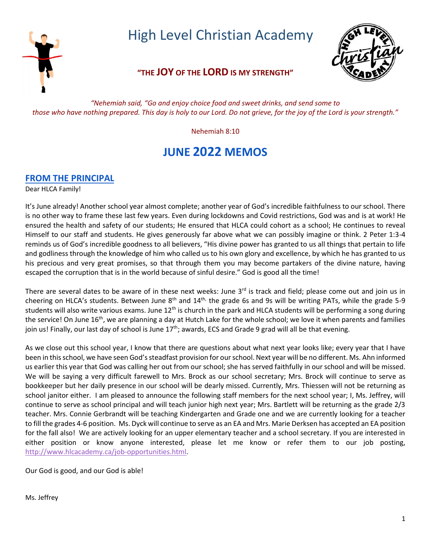

High Level Christian Academy

## **"THE JOY OF THE LORD IS MY STRENGTH"**



*"Nehemiah said, "Go and enjoy choice food and sweet drinks, and send some to those who have nothing prepared. This day is holy to our Lord. Do not grieve, for the joy of the Lord is your strength."*

Nehemiah 8:10

# **JUNE 2022 MEMOS**

### **FROM THE PRINCIPAL**

Dear HLCA Family!

It's June already! Another school year almost complete; another year of God's incredible faithfulness to our school. There is no other way to frame these last few years. Even during lockdowns and Covid restrictions, God was and is at work! He ensured the health and safety of our students; He ensured that HLCA could cohort as a school; He continues to reveal Himself to our staff and students. He gives generously far above what we can possibly imagine or think. 2 Peter 1:3-4 reminds us of God's incredible goodness to all believers, "His divine power has granted to us all things that pertain to life and godliness through the knowledge of him who called us to his own glory and excellence, by which he has granted to us his precious and very great promises, so that through them you may become partakers of the divine nature, having escaped the corruption that is in the world because of sinful desire." God is good all the time!

There are several dates to be aware of in these next weeks: June  $3<sup>rd</sup>$  is track and field; please come out and join us in cheering on HLCA's students. Between June  $8<sup>th</sup>$  and  $14<sup>th</sup>$ , the grade 6s and 9s will be writing PATs, while the grade 5-9 students will also write various exams. June 12<sup>th</sup> is church in the park and HLCA students will be performing a song during the service! On June 16<sup>th</sup>, we are planning a day at Hutch Lake for the whole school; we love it when parents and families join us! Finally, our last day of school is June  $17^{th}$ ; awards, ECS and Grade 9 grad will all be that evening.

As we close out this school year, I know that there are questions about what next year looks like; every year that I have been in this school, we have seen God's steadfast provision for our school. Next year will be no different. Ms. Ahn informed us earlier this year that God was calling her out from our school; she has served faithfully in our school and will be missed. We will be saying a very difficult farewell to Mrs. Brock as our school secretary; Mrs. Brock will continue to serve as bookkeeper but her daily presence in our school will be dearly missed. Currently, Mrs. Thiessen will not be returning as school janitor either. I am pleased to announce the following staff members for the next school year; I, Ms. Jeffrey, will continue to serve as school principal and will teach junior high next year; Mrs. Bartlett will be returning as the grade 2/3 teacher. Mrs. Connie Gerbrandt will be teaching Kindergarten and Grade one and we are currently looking for a teacher to fill the grades 4-6 position. Ms. Dyck will continue to serve as an EA and Mrs. Marie Derksen has accepted an EA position for the fall also! We are actively looking for an upper elementary teacher and a school secretary. If you are interested in either position or know anyone interested, please let me know or refer them to our job posting, [http://www.hlcacademy.ca/job-opportunities.html.](http://www.hlcacademy.ca/job-opportunities.html)

Our God is good, and our God is able!

Ms. Jeffrey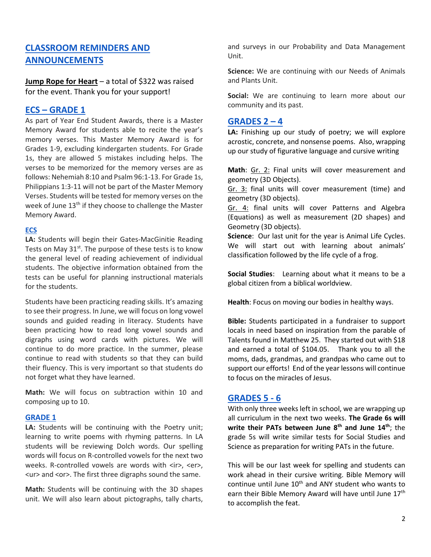### **CLASSROOM REMINDERS AND ANNOUNCEMENTS**

**Jump Rope for Heart** – a total of \$322 was raised for the event. Thank you for your support!

### **ECS – GRADE 1**

As part of Year End Student Awards, there is a Master Memory Award for students able to recite the year's memory verses. This Master Memory Award is for Grades 1-9, excluding kindergarten students. For Grade 1s, they are allowed 5 mistakes including helps. The verses to be memorized for the memory verses are as follows: Nehemiah 8:10 and Psalm 96:1-13. For Grade 1s, Philippians 1:3-11 will not be part of the Master Memory Verses. Students will be tested for memory verses on the week of June 13<sup>th</sup> if they choose to challenge the Master Memory Award.

### **ECS**

**LA:** Students will begin their Gates-MacGinitie Reading Tests on May 31<sup>st</sup>. The purpose of these tests is to know the general level of reading achievement of individual students. The objective information obtained from the tests can be useful for planning instructional materials for the students.

Students have been practicing reading skills. It's amazing to see their progress. In June, we will focus on long vowel sounds and guided reading in literacy. Students have been practicing how to read long vowel sounds and digraphs using word cards with pictures. We will continue to do more practice. In the summer, please continue to read with students so that they can build their fluency. This is very important so that students do not forget what they have learned.

**Math:** We will focus on subtraction within 10 and composing up to 10.

### **GRADE 1**

**LA:** Students will be continuing with the Poetry unit; learning to write poems with rhyming patterns. In LA students will be reviewing Dolch words. Our spelling words will focus on R-controlled vowels for the next two weeks. R-controlled vowels are words with <ir>, <er>, <ur> and <or>. The first three digraphs sound the same.

**Math:** Students will be continuing with the 3D shapes unit. We will also learn about pictographs, tally charts, and surveys in our Probability and Data Management Unit.

**Science:** We are continuing with our Needs of Animals and Plants Unit.

Social: We are continuing to learn more about our community and its past.

### **GRADES 2 – 4**

**LA:** Finishing up our study of poetry; we will explore acrostic, concrete, and nonsense poems. Also, wrapping up our study of figurative language and cursive writing

**Math**: Gr. 2: Final units will cover measurement and geometry (3D Objects).

Gr. 3: final units will cover measurement (time) and geometry (3D objects).

Gr. 4: final units will cover Patterns and Algebra (Equations) as well as measurement (2D shapes) and Geometry (3D objects).

**Science**: Our last unit for the year is Animal Life Cycles. We will start out with learning about animals' classification followed by the life cycle of a frog.

**Social Studies**: Learning about what it means to be a global citizen from a biblical worldview.

**Health**: Focus on moving our bodies in healthy ways.

**Bible:** Students participated in a fundraiser to support locals in need based on inspiration from the parable of Talents found in Matthew 25. They started out with \$18 and earned a total of \$104.05. Thank you to all the moms, dads, grandmas, and grandpas who came out to support our efforts! End of the year lessons will continue to focus on the miracles of Jesus.

### **GRADES 5 - 6**

With only three weeks left in school, we are wrapping up all curriculum in the next two weeks. **The Grade 6s will write their PATs between June 8th and June 14th**; the grade 5s will write similar tests for Social Studies and Science as preparation for writing PATs in the future.

This will be our last week for spelling and students can work ahead in their cursive writing. Bible Memory will continue until June  $10<sup>th</sup>$  and ANY student who wants to earn their Bible Memory Award will have until June 17<sup>th</sup> to accomplish the feat.